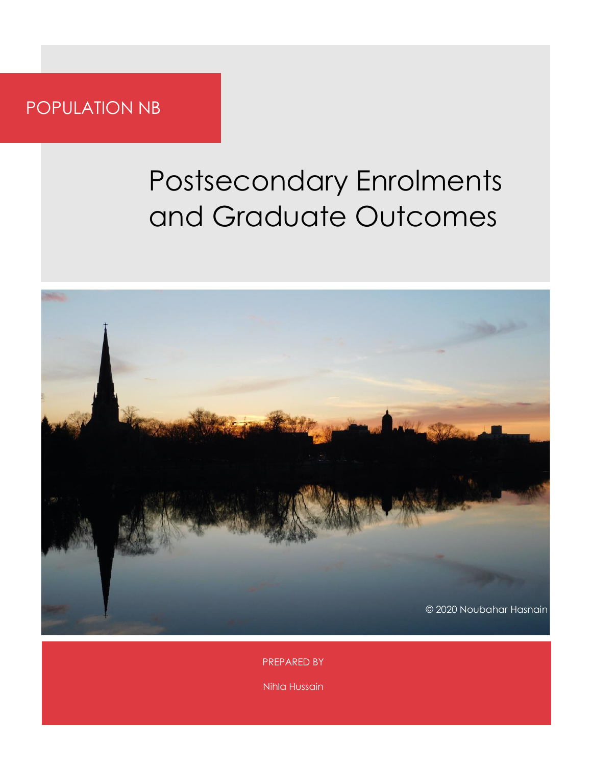### POPULATION NB

### Postsecondary Enrolments and Graduate Outcomes



PREPARED BY

Nihla Hussain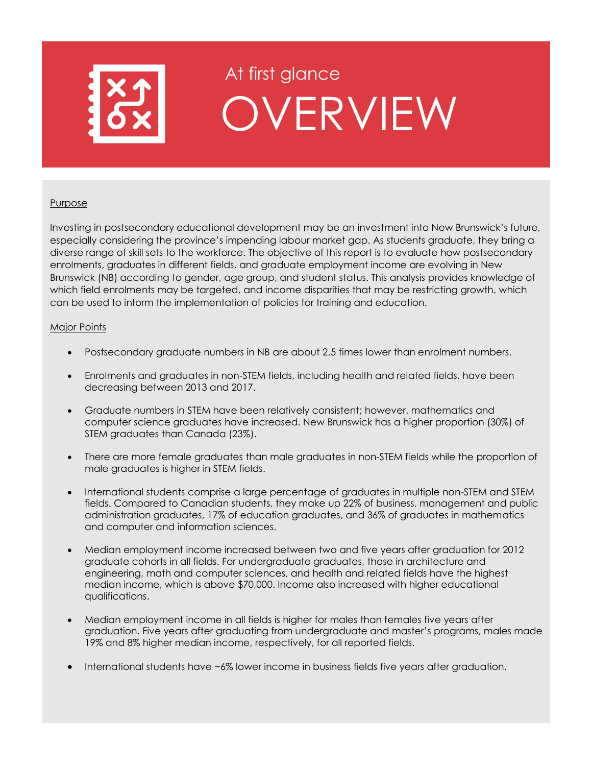

### At first glance OVERVIEW

#### **Purpose**

Investing in postsecondary educational development may be an investment into New Brunswick's future, especially considering the province's impending labour market gap. As students graduate, they bring a diverse range of skill sets to the workforce. The objective of this report is to evaluate how postsecondary enrolments, graduates in different fields, and graduate employment income are evolving in New Brunswick (NB) according to gender, age group, and student status. This analysis provides knowledge of which field enrolments may be targeted, and income disparities that may be restricting growth, which can be used to inform the implementation of policies for training and education.

#### Major Points

- Postsecondary graduate numbers in NB are about 2.5 times lower than enrolment numbers.
- Enrolments and graduates in non-STEM fields, including health and related fields, have been decreasing between 2013 and 2017.
- Graduate numbers in STEM have been relatively consistent; however, mathematics and computer science graduates have increased. New Brunswick has a higher proportion (30%) of STEM graduates than Canada (23%).
- There are more female graduates than male graduates in non-STEM fields while the proportion of male graduates is higher in STEM fields.
- International students comprise a large percentage of graduates in multiple non-STEM and STEM fields. Compared to Canadian students, they make up 22% of business, management and public administration graduates, 17% of education graduates, and 36% of graduates in mathematics and computer and information sciences.
- Median employment income increased between two and five years after graduation for 2012 graduate cohorts in all fields. For undergraduate graduates, those in architecture and engineering, math and computer sciences, and health and related fields have the highest median income, which is above \$70,000. Income also increased with higher educational qualifications.
- Median employment income in all fields is higher for males than females five years after graduation. Five years after graduating from undergraduate and master's programs, males made 19% and 8% higher median income, respectively, for all reported fields.
- International students have ~6% lower income in business fields five years after graduation.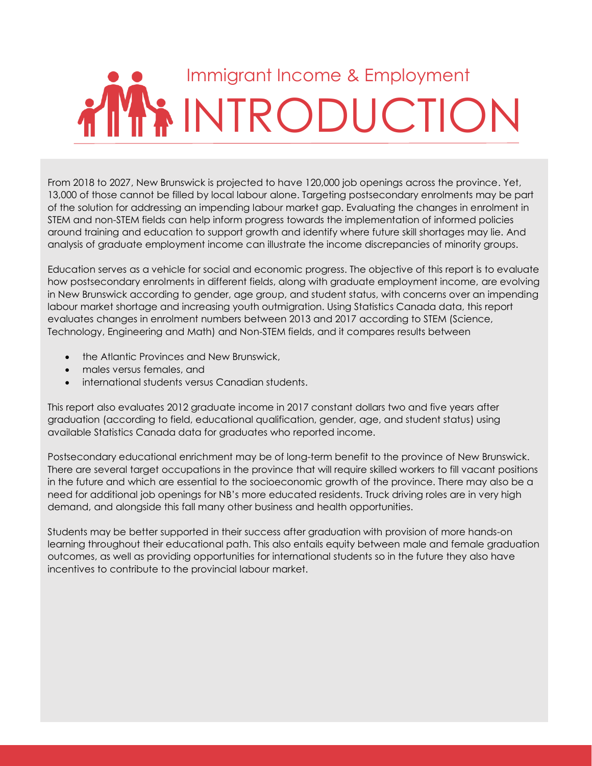## Immigrant Income & Employment i INTRODUCTION

From 2018 to 2027, New Brunswick is projected to have 120,000 job openings across the province. Yet, 13,000 of those cannot be filled by local labour alone. Targeting postsecondary enrolments may be part of the solution for addressing an impending labour market gap. Evaluating the changes in enrolment in STEM and non-STEM fields can help inform progress towards the implementation of informed policies around training and education to support growth and identify where future skill shortages may lie. And analysis of graduate employment income can illustrate the income discrepancies of minority groups.

Education serves as a vehicle for social and economic progress. The objective of this report is to evaluate how postsecondary enrolments in different fields, along with graduate employment income, are evolving in New Brunswick according to gender, age group, and student status, with concerns over an impending labour market shortage and increasing youth outmigration. Using Statistics Canada data, this report evaluates changes in enrolment numbers between 2013 and 2017 according to STEM (Science, Technology, Engineering and Math) and Non-STEM fields, and it compares results between

- the Atlantic Provinces and New Brunswick,
- males versus females, and
- international students versus Canadian students.

This report also evaluates 2012 graduate income in 2017 constant dollars two and five years after graduation (according to field, educational qualification, gender, age, and student status) using available Statistics Canada data for graduates who reported income.

Postsecondary educational enrichment may be of long-term benefit to the province of New Brunswick. There are several target occupations in the province that will require skilled workers to fill vacant positions in the future and which are essential to the socioeconomic growth of the province. There may also be a need for additional job openings for NB's more educated residents. Truck driving roles are in very high demand, and alongside this fall many other business and health opportunities.

Students may be better supported in their success after graduation with provision of more hands-on learning throughout their educational path. This also entails equity between male and female graduation outcomes, as well as providing opportunities for international students so in the future they also have incentives to contribute to the provincial labour market.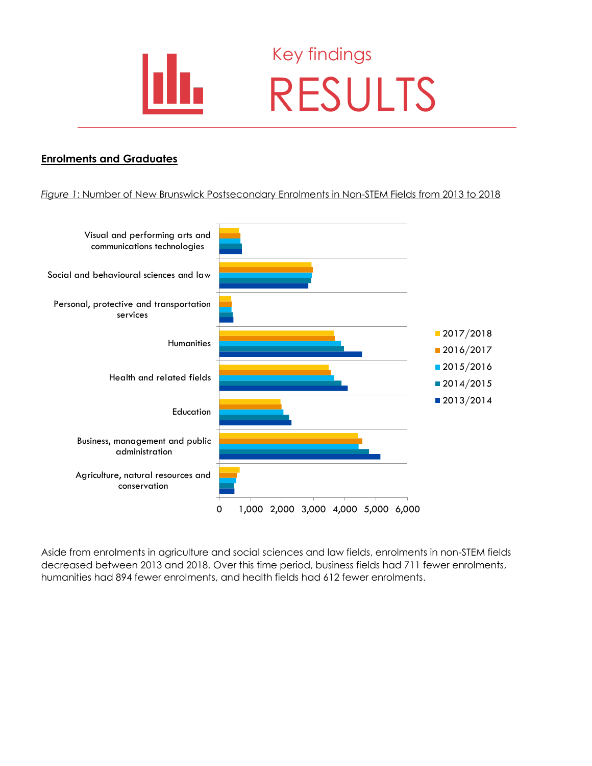

### Key findings RESULTS

#### **Enrolments and Graduates**

#### *Figure 1*: Number of New Brunswick Postsecondary Enrolments in Non-STEM Fields from 2013 to 2018



Aside from enrolments in agriculture and social sciences and law fields, enrolments in non-STEM fields decreased between 2013 and 2018. Over this time period, business fields had 711 fewer enrolments, humanities had 894 fewer enrolments, and health fields had 612 fewer enrolments.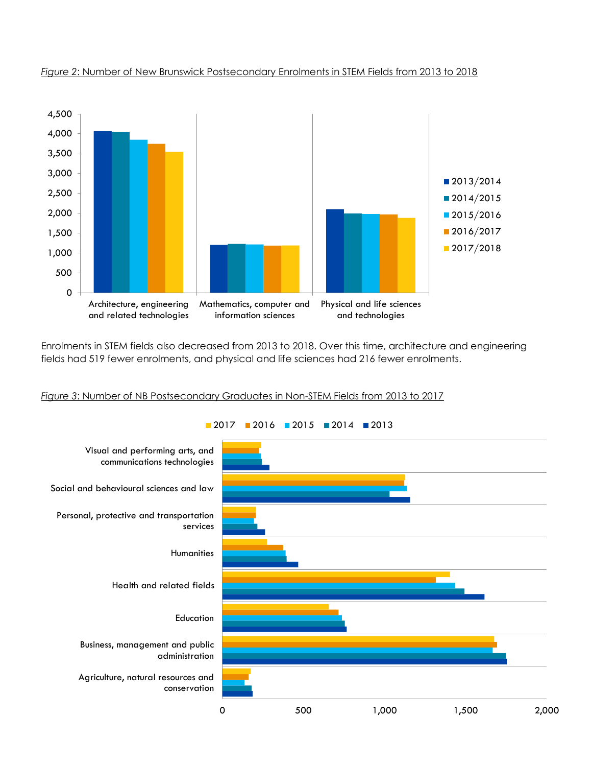

#### *Figure 2*: Number of New Brunswick Postsecondary Enrolments in STEM Fields from 2013 to 2018

Enrolments in STEM fields also decreased from 2013 to 2018. Over this time, architecture and engineering fields had 519 fewer enrolments, and physical and life sciences had 216 fewer enrolments.

#### *Figure 3*: Number of NB Postsecondary Graduates in Non-STEM Fields from 2013 to 2017

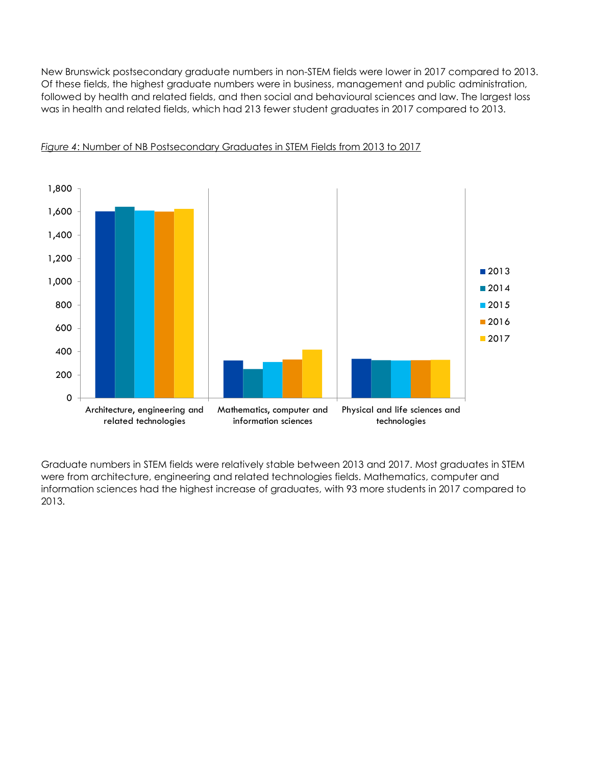New Brunswick postsecondary graduate numbers in non-STEM fields were lower in 2017 compared to 2013. Of these fields, the highest graduate numbers were in business, management and public administration, followed by health and related fields, and then social and behavioural sciences and law. The largest loss was in health and related fields, which had 213 fewer student graduates in 2017 compared to 2013.



#### *Figure 4*: Number of NB Postsecondary Graduates in STEM Fields from 2013 to 2017

Graduate numbers in STEM fields were relatively stable between 2013 and 2017. Most graduates in STEM were from architecture, engineering and related technologies fields. Mathematics, computer and information sciences had the highest increase of graduates, with 93 more students in 2017 compared to 2013.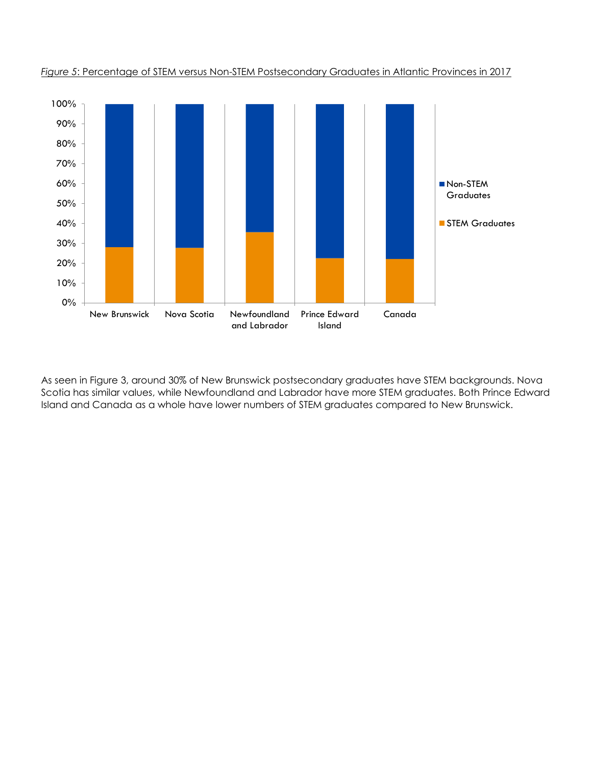

*Figure 5*: Percentage of STEM versus Non-STEM Postsecondary Graduates in Atlantic Provinces in 2017

As seen in Figure 3, around 30% of New Brunswick postsecondary graduates have STEM backgrounds. Nova Scotia has similar values, while Newfoundland and Labrador have more STEM graduates. Both Prince Edward Island and Canada as a whole have lower numbers of STEM graduates compared to New Brunswick.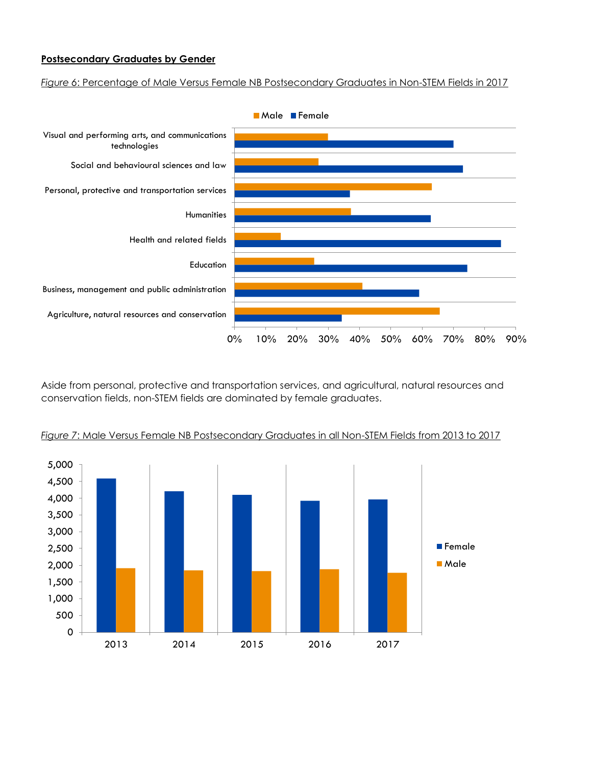#### **Postsecondary Graduates by Gender**

*Figure 6*: Percentage of Male Versus Female NB Postsecondary Graduates in Non-STEM Fields in 2017



Aside from personal, protective and transportation services, and agricultural, natural resources and conservation fields, non-STEM fields are dominated by female graduates.



*Figure 7*: Male Versus Female NB Postsecondary Graduates in all Non-STEM Fields from 2013 to 2017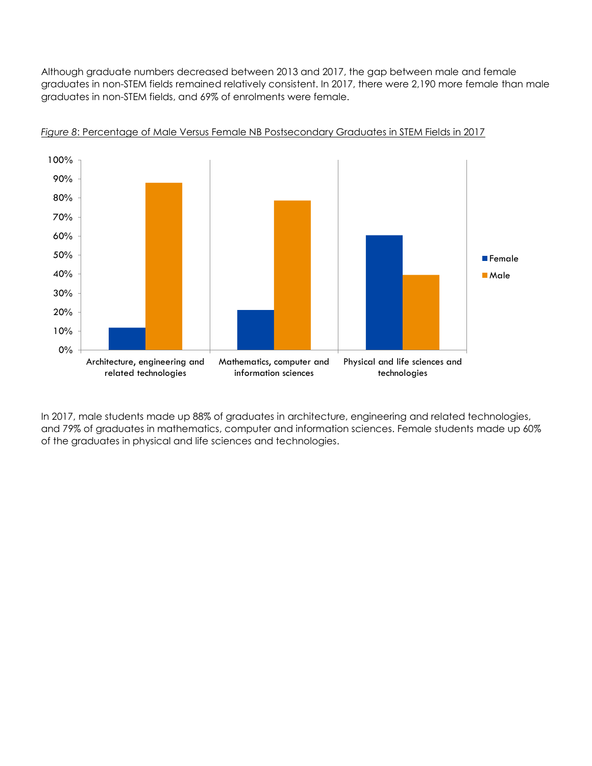Although graduate numbers decreased between 2013 and 2017, the gap between male and female graduates in non-STEM fields remained relatively consistent. In 2017, there were 2,190 more female than male graduates in non-STEM fields, and 69% of enrolments were female.



*Figure 8*: Percentage of Male Versus Female NB Postsecondary Graduates in STEM Fields in 2017

In 2017, male students made up 88% of graduates in architecture, engineering and related technologies, and 79% of graduates in mathematics, computer and information sciences. Female students made up 60% of the graduates in physical and life sciences and technologies.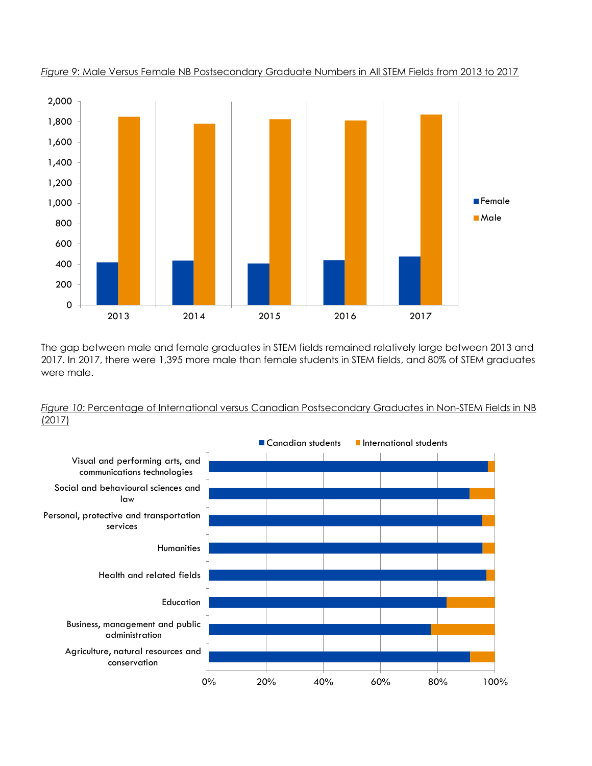

*Figure 9*: Male Versus Female NB Postsecondary Graduate Numbers in All STEM Fields from 2013 to 2017

The gap between male and female graduates in STEM fields remained relatively large between 2013 and 2017. In 2017, there were 1,395 more male than female students in STEM fields, and 80% of STEM graduates were male.



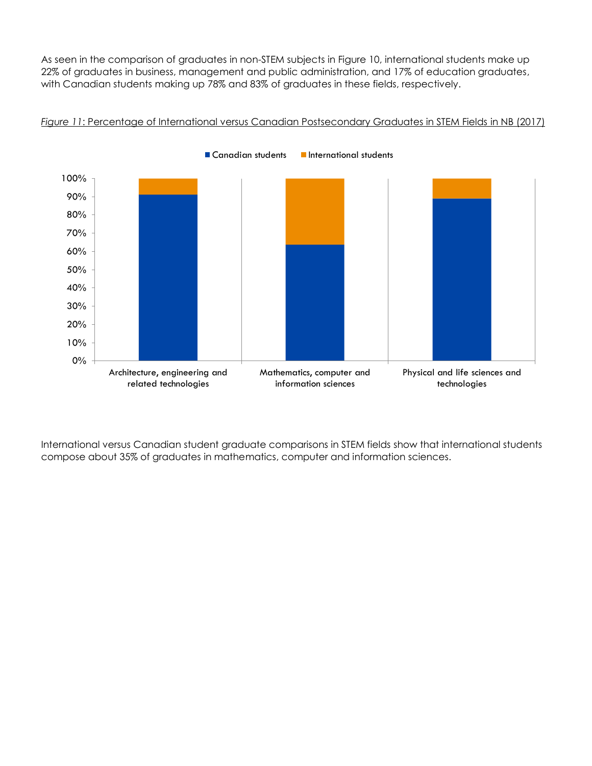As seen in the comparison of graduates in non-STEM subjects in Figure 10, international students make up 22% of graduates in business, management and public administration, and 17% of education graduates, with Canadian students making up 78% and 83% of graduates in these fields, respectively.



*Figure 11*: Percentage of International versus Canadian Postsecondary Graduates in STEM Fields in NB (2017)

International versus Canadian student graduate comparisons in STEM fields show that international students compose about 35% of graduates in mathematics, computer and information sciences.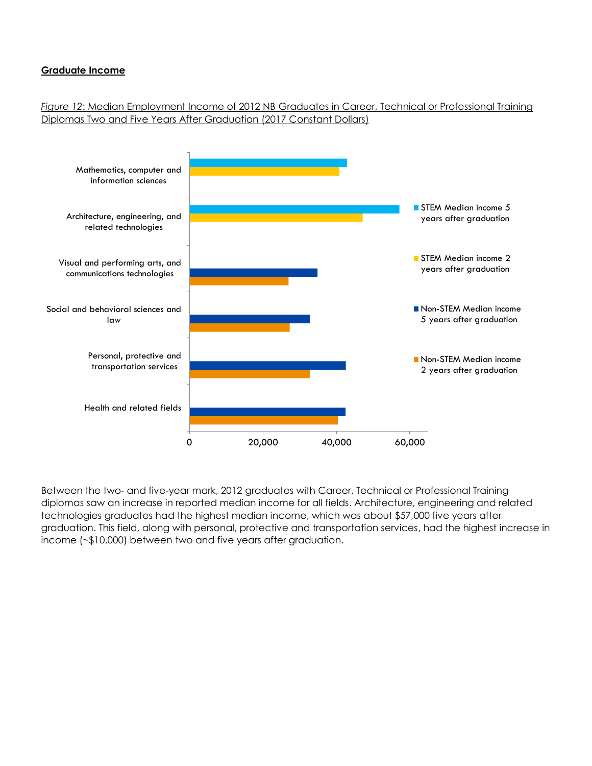#### **Graduate Income**

*Figure 12*: Median Employment Income of 2012 NB Graduates in Career, Technical or Professional Training Diplomas Two and Five Years After Graduation (2017 Constant Dollars)



Between the two- and five-year mark, 2012 graduates with Career, Technical or Professional Training diplomas saw an increase in reported median income for all fields. Architecture, engineering and related technologies graduates had the highest median income, which was about \$57,000 five years after graduation. This field, along with personal, protective and transportation services, had the highest increase in income (~\$10,000) between two and five years after graduation.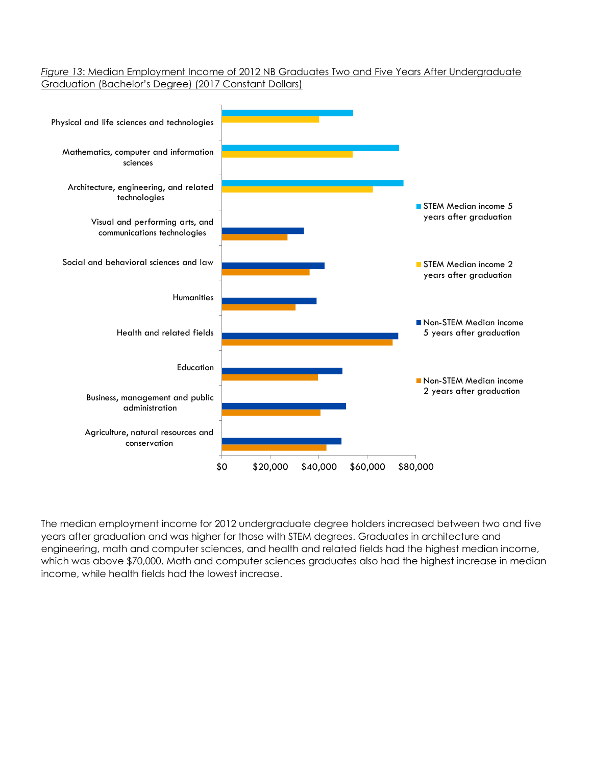*Figure 13*: Median Employment Income of 2012 NB Graduates Two and Five Years After Undergraduate Graduation (Bachelor's Degree) (2017 Constant Dollars)



The median employment income for 2012 undergraduate degree holders increased between two and five years after graduation and was higher for those with STEM degrees. Graduates in architecture and engineering, math and computer sciences, and health and related fields had the highest median income, which was above \$70,000. Math and computer sciences graduates also had the highest increase in median income, while health fields had the lowest increase.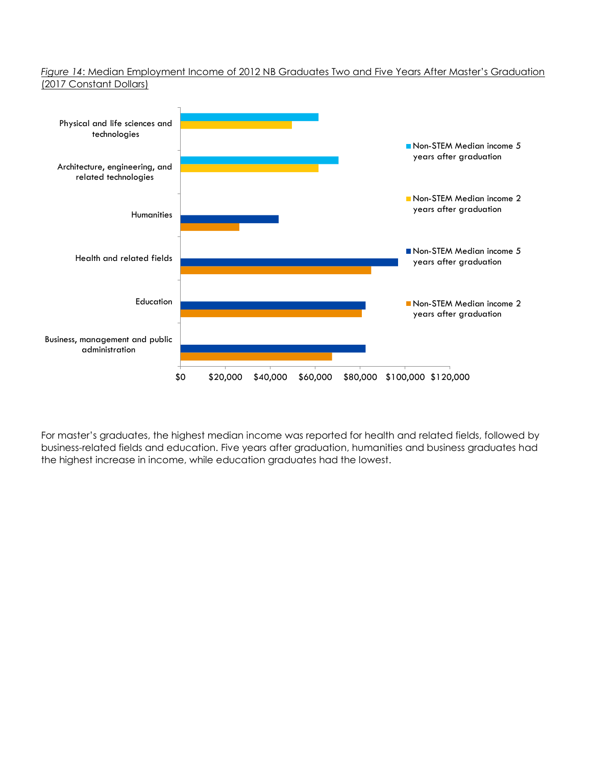#### *Figure 14*: Median Employment Income of 2012 NB Graduates Two and Five Years After Master's Graduation (2017 Constant Dollars)



For master's graduates, the highest median income was reported for health and related fields, followed by business-related fields and education. Five years after graduation, humanities and business graduates had the highest increase in income, while education graduates had the lowest.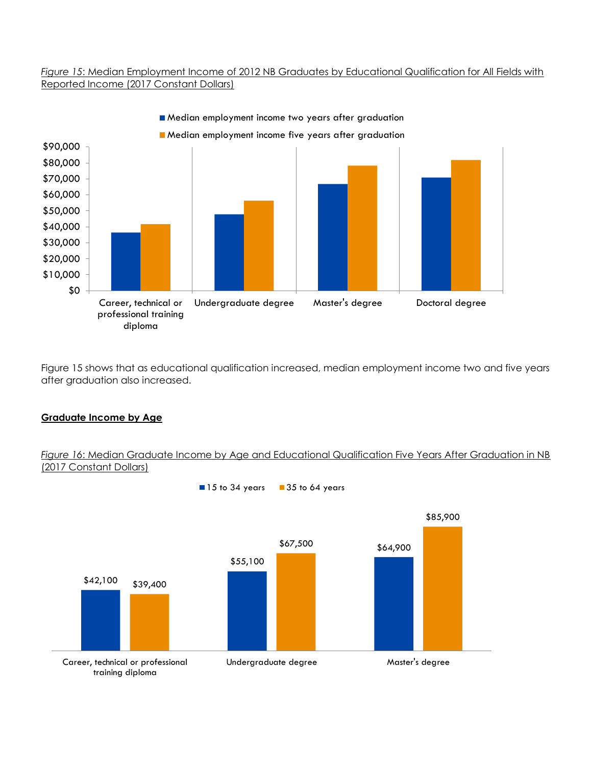#### *Figure 15*: Median Employment Income of 2012 NB Graduates by Educational Qualification for All Fields with Reported Income (2017 Constant Dollars)



Figure 15 shows that as educational qualification increased, median employment income two and five years after graduation also increased.

#### **Graduate Income by Age**

#### *Figure 16*: Median Graduate Income by Age and Educational Qualification Five Years After Graduation in NB (2017 Constant Dollars)

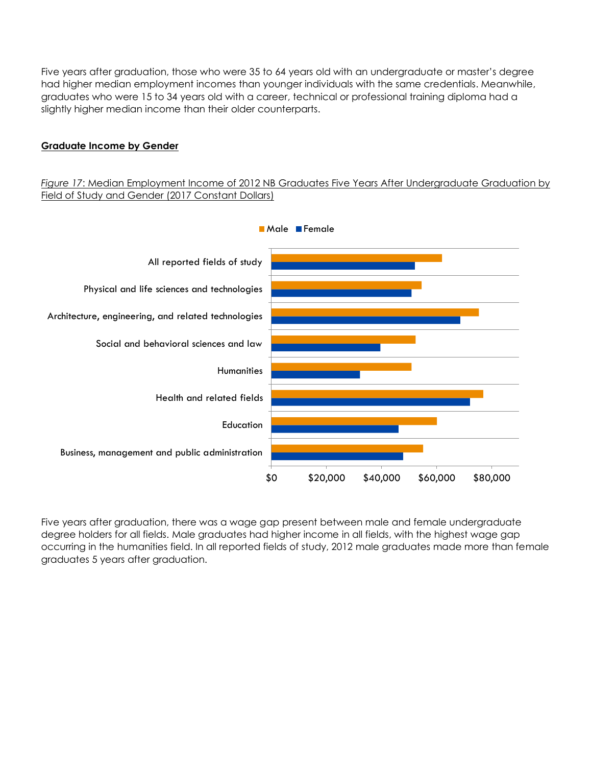Five years after graduation, those who were 35 to 64 years old with an undergraduate or master's degree had higher median employment incomes than younger individuals with the same credentials. Meanwhile, graduates who were 15 to 34 years old with a career, technical or professional training diploma had a slightly higher median income than their older counterparts.

#### **Graduate Income by Gender**

#### *Figure 17*: Median Employment Income of 2012 NB Graduates Five Years After Undergraduate Graduation by Field of Study and Gender (2017 Constant Dollars)



Five years after graduation, there was a wage gap present between male and female undergraduate degree holders for all fields. Male graduates had higher income in all fields, with the highest wage gap occurring in the humanities field. In all reported fields of study, 2012 male graduates made more than female graduates 5 years after graduation.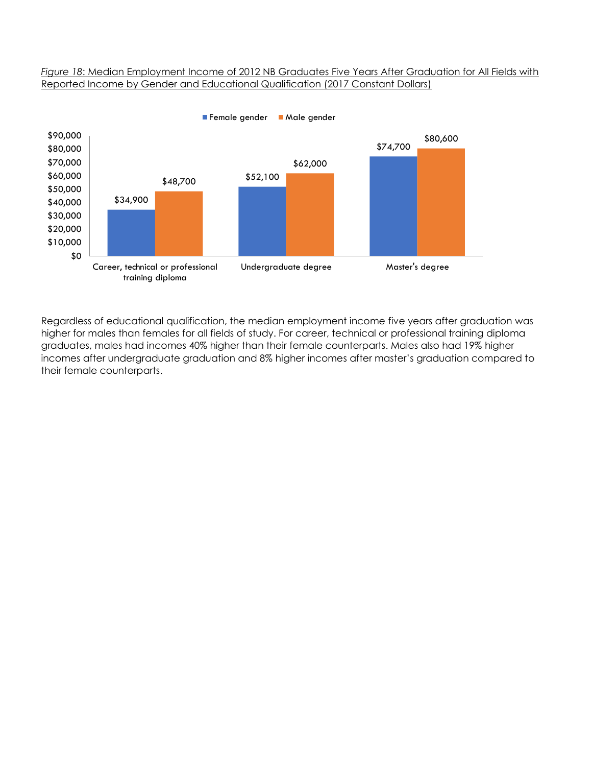#### *Figure 18*: Median Employment Income of 2012 NB Graduates Five Years After Graduation for All Fields with Reported Income by Gender and Educational Qualification (2017 Constant Dollars)



Regardless of educational qualification, the median employment income five years after graduation was higher for males than females for all fields of study. For career, technical or professional training diploma graduates, males had incomes 40% higher than their female counterparts. Males also had 19% higher incomes after undergraduate graduation and 8% higher incomes after master's graduation compared to their female counterparts.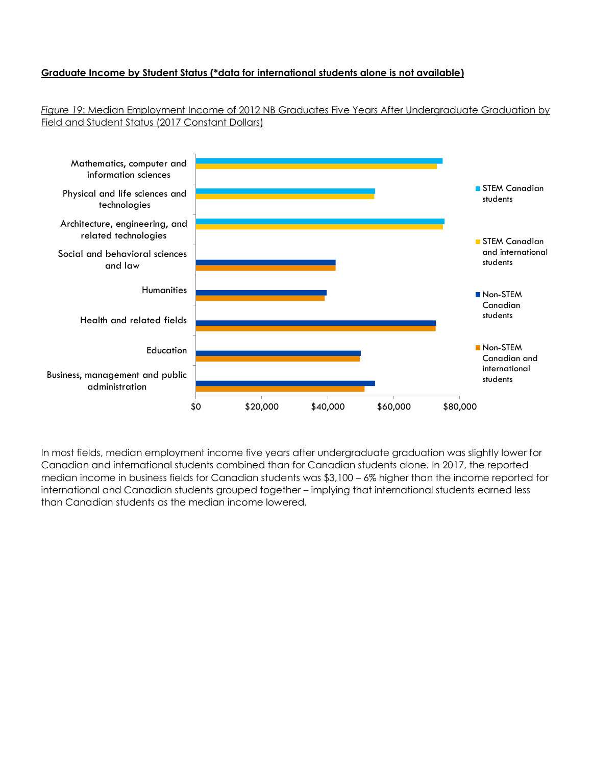#### **Graduate Income by Student Status (\*data for international students alone is not available)**

*Figure 19*: Median Employment Income of 2012 NB Graduates Five Years After Undergraduate Graduation by Field and Student Status (2017 Constant Dollars)



In most fields, median employment income five years after undergraduate graduation was slightly lower for Canadian and international students combined than for Canadian students alone. In 2017, the reported median income in business fields for Canadian students was \$3,100 – 6% higher than the income reported for international and Canadian students grouped together – implying that international students earned less than Canadian students as the median income lowered.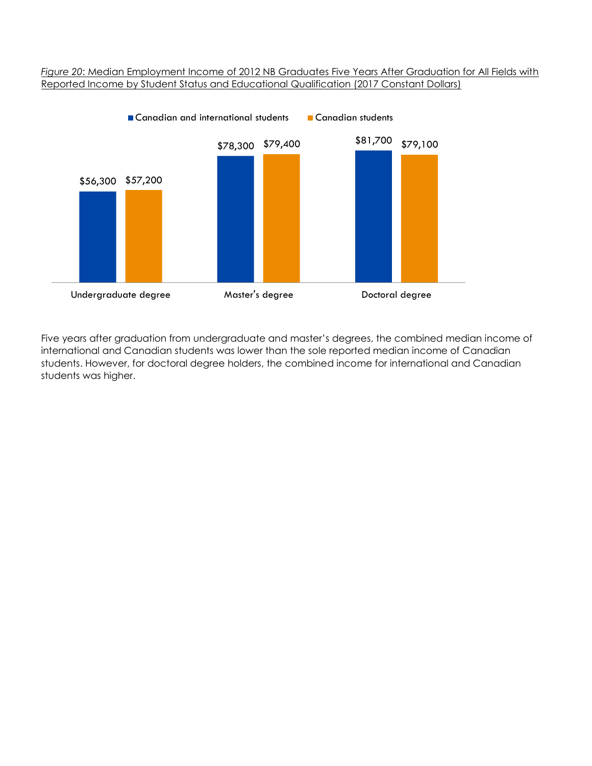#### *Figure 20*: Median Employment Income of 2012 NB Graduates Five Years After Graduation for All Fields with Reported Income by Student Status and Educational Qualification (2017 Constant Dollars)



Five years after graduation from undergraduate and master's degrees, the combined median income of international and Canadian students was lower than the sole reported median income of Canadian students. However, for doctoral degree holders, the combined income for international and Canadian students was higher.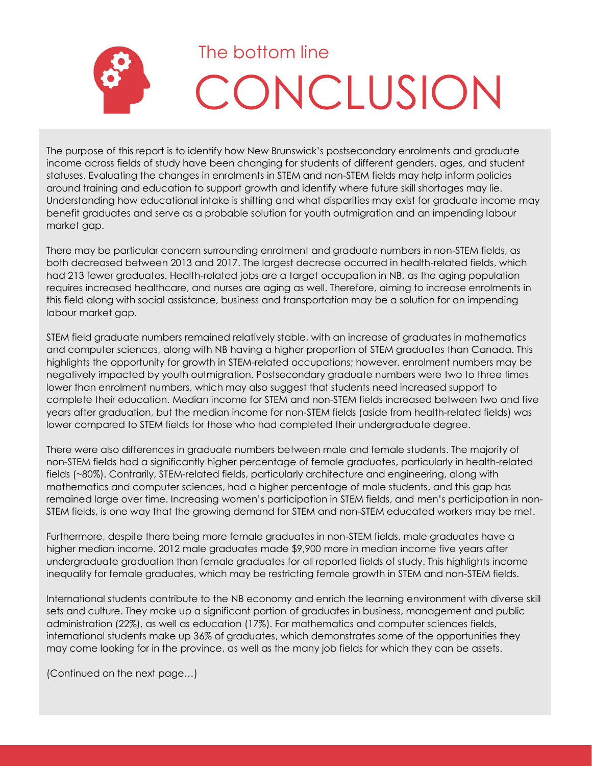

The purpose of this report is to identify how New Brunswick's postsecondary enrolments and graduate income across fields of study have been changing for students of different genders, ages, and student statuses. Evaluating the changes in enrolments in STEM and non-STEM fields may help inform policies around training and education to support growth and identify where future skill shortages may lie. Understanding how educational intake is shifting and what disparities may exist for graduate income may benefit graduates and serve as a probable solution for youth outmigration and an impending labour market gap.

There may be particular concern surrounding enrolment and graduate numbers in non-STEM fields, as both decreased between 2013 and 2017. The largest decrease occurred in health-related fields, which had 213 fewer graduates. Health-related jobs are a target occupation in NB, as the aging population requires increased healthcare, and nurses are aging as well. Therefore, aiming to increase enrolments in this field along with social assistance, business and transportation may be a solution for an impending labour market gap.

STEM field graduate numbers remained relatively stable, with an increase of graduates in mathematics and computer sciences, along with NB having a higher proportion of STEM graduates than Canada. This highlights the opportunity for growth in STEM-related occupations; however, enrolment numbers may be negatively impacted by youth outmigration. Postsecondary graduate numbers were two to three times lower than enrolment numbers, which may also suggest that students need increased support to complete their education. Median income for STEM and non-STEM fields increased between two and five years after graduation, but the median income for non-STEM fields (aside from health-related fields) was lower compared to STEM fields for those who had completed their undergraduate degree.

There were also differences in graduate numbers between male and female students. The majority of non-STEM fields had a significantly higher percentage of female graduates, particularly in health-related fields (~80%). Contrarily, STEM-related fields, particularly architecture and engineering, along with mathematics and computer sciences, had a higher percentage of male students, and this gap has remained large over time. Increasing women's participation in STEM fields, and men's participation in non-STEM fields, is one way that the growing demand for STEM and non-STEM educated workers may be met.

Furthermore, despite there being more female graduates in non-STEM fields, male graduates have a higher median income. 2012 male graduates made \$9,900 more in median income five years after undergraduate graduation than female graduates for all reported fields of study. This highlights income inequality for female graduates, which may be restricting female growth in STEM and non-STEM fields.

International students contribute to the NB economy and enrich the learning environment with diverse skill sets and culture. They make up a significant portion of graduates in business, management and public administration (22%), as well as education (17%). For mathematics and computer sciences fields, international students make up 36% of graduates, which demonstrates some of the opportunities they may come looking for in the province, as well as the many job fields for which they can be assets.

(Continued on the next page…)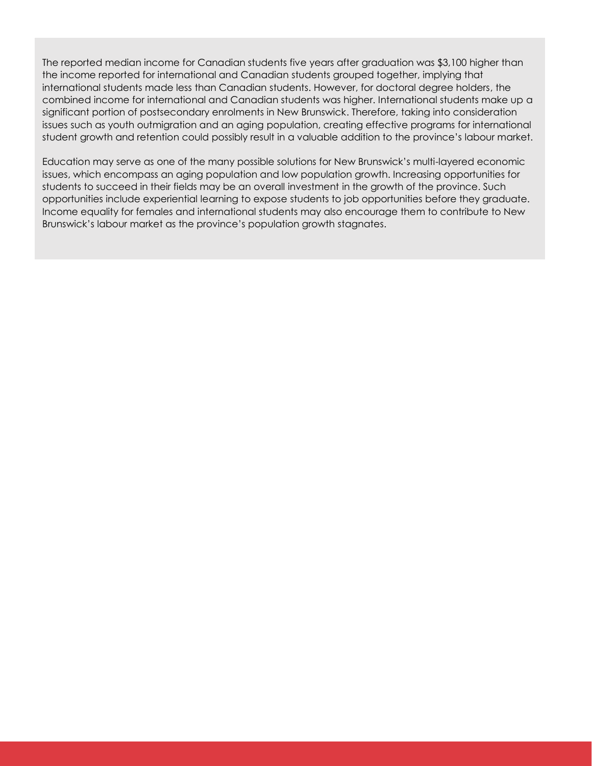The reported median income for Canadian students five years after graduation was \$3,100 higher than the income reported for international and Canadian students grouped together, implying that international students made less than Canadian students. However, for doctoral degree holders, the combined income for international and Canadian students was higher. International students make up a significant portion of postsecondary enrolments in New Brunswick. Therefore, taking into consideration issues such as youth outmigration and an aging population, creating effective programs for international student growth and retention could possibly result in a valuable addition to the province's labour market.

Education may serve as one of the many possible solutions for New Brunswick's multi-layered economic issues, which encompass an aging population and low population growth. Increasing opportunities for students to succeed in their fields may be an overall investment in the growth of the province. Such opportunities include experiential learning to expose students to job opportunities before they graduate. Income equality for females and international students may also encourage them to contribute to New Brunswick's labour market as the province's population growth stagnates.